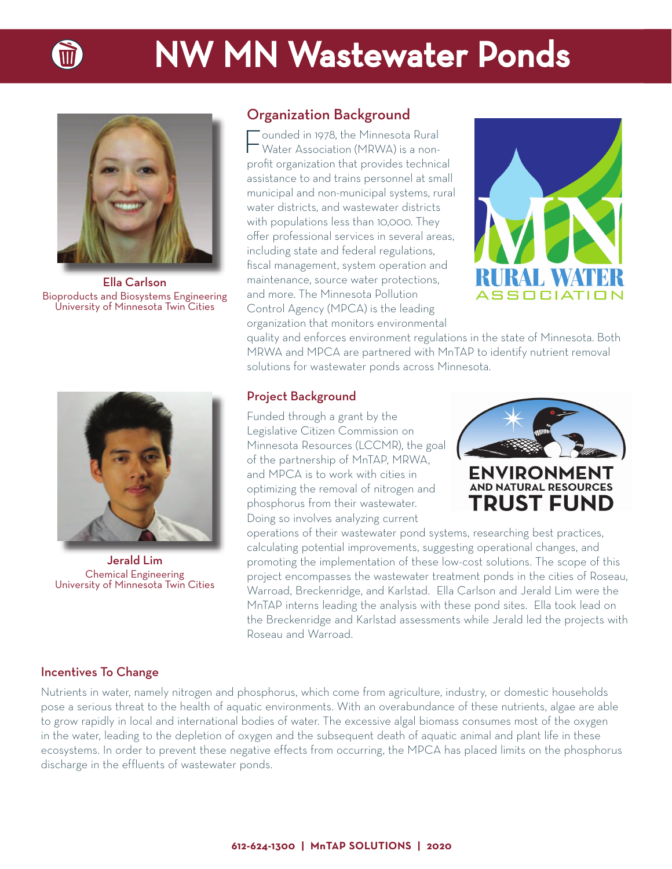



Ella Carlson Bioproducts and Biosystems Engineering University of Minnesota Twin Cities



Jerald Lim Chemical Engineering University of Minnesota Twin Cities

## Organization Background

Founded in 1978, the Minnesota Rural Water Association (MRWA) is a nonprofit organization that provides technical assistance to and trains personnel at small municipal and non-municipal systems, rural water districts, and wastewater districts with populations less than 10,000. They offer professional services in several areas, including state and federal regulations, fiscal management, system operation and maintenance, source water protections, and more. The Minnesota Pollution Control Agency (MPCA) is the leading organization that monitors environmental



quality and enforces environment regulations in the state of Minnesota. Both MRWA and MPCA are partnered with MnTAP to identify nutrient removal solutions for wastewater ponds across Minnesota.

#### Project Background

Funded through a grant by the Legislative Citizen Commission on Minnesota Resources (LCCMR), the goal of the partnership of MnTAP, MRWA, and MPCA is to work with cities in optimizing the removal of nitrogen and phosphorus from their wastewater. Doing so involves analyzing current



operations of their wastewater pond systems, researching best practices, calculating potential improvements, suggesting operational changes, and promoting the implementation of these low-cost solutions. The scope of this project encompasses the wastewater treatment ponds in the cities of Roseau, Warroad, Breckenridge, and Karlstad. Ella Carlson and Jerald Lim were the MnTAP interns leading the analysis with these pond sites. Ella took lead on the Breckenridge and Karlstad assessments while Jerald led the projects with Roseau and Warroad.

#### Incentives To Change

Nutrients in water, namely nitrogen and phosphorus, which come from agriculture, industry, or domestic households pose a serious threat to the health of aquatic environments. With an overabundance of these nutrients, algae are able to grow rapidly in local and international bodies of water. The excessive algal biomass consumes most of the oxygen in the water, leading to the depletion of oxygen and the subsequent death of aquatic animal and plant life in these ecosystems. In order to prevent these negative effects from occurring, the MPCA has placed limits on the phosphorus discharge in the effluents of wastewater ponds.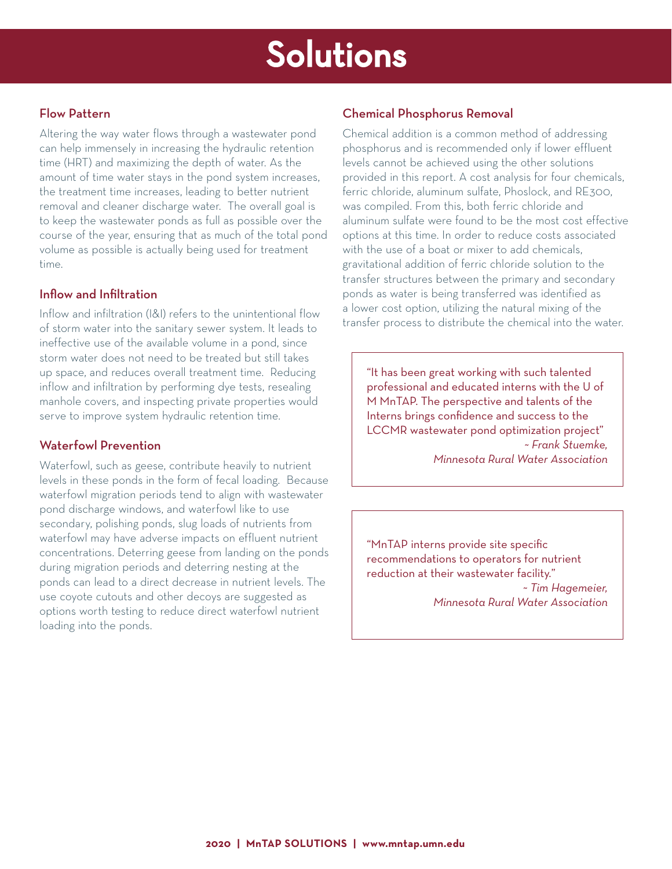## Solutions

### Flow Pattern

Altering the way water flows through a wastewater pond can help immensely in increasing the hydraulic retention time (HRT) and maximizing the depth of water. As the amount of time water stays in the pond system increases, the treatment time increases, leading to better nutrient removal and cleaner discharge water. The overall goal is to keep the wastewater ponds as full as possible over the course of the year, ensuring that as much of the total pond volume as possible is actually being used for treatment time.

### Inflow and Infiltration

Inflow and infiltration (I&I) refers to the unintentional flow of storm water into the sanitary sewer system. It leads to ineffective use of the available volume in a pond, since storm water does not need to be treated but still takes up space, and reduces overall treatment time. Reducing inflow and infiltration by performing dye tests, resealing manhole covers, and inspecting private properties would serve to improve system hydraulic retention time.

### Waterfowl Prevention

Waterfowl, such as geese, contribute heavily to nutrient levels in these ponds in the form of fecal loading. Because waterfowl migration periods tend to align with wastewater pond discharge windows, and waterfowl like to use secondary, polishing ponds, slug loads of nutrients from waterfowl may have adverse impacts on effluent nutrient concentrations. Deterring geese from landing on the ponds during migration periods and deterring nesting at the ponds can lead to a direct decrease in nutrient levels. The use coyote cutouts and other decoys are suggested as options worth testing to reduce direct waterfowl nutrient loading into the ponds.

### Chemical Phosphorus Removal

Chemical addition is a common method of addressing phosphorus and is recommended only if lower effluent levels cannot be achieved using the other solutions provided in this report. A cost analysis for four chemicals, ferric chloride, aluminum sulfate, Phoslock, and RE300, was compiled. From this, both ferric chloride and aluminum sulfate were found to be the most cost effective options at this time. In order to reduce costs associated with the use of a boat or mixer to add chemicals, gravitational addition of ferric chloride solution to the transfer structures between the primary and secondary ponds as water is being transferred was identified as a lower cost option, utilizing the natural mixing of the transfer process to distribute the chemical into the water.

"It has been great working with such talented professional and educated interns with the U of M MnTAP. The perspective and talents of the Interns brings confidence and success to the LCCMR wastewater pond optimization project" *~ Frank Stuemke, Minnesota Rural Water Association*

"MnTAP interns provide site specific recommendations to operators for nutrient reduction at their wastewater facility." *~ Tim Hagemeier, Minnesota Rural Water Association*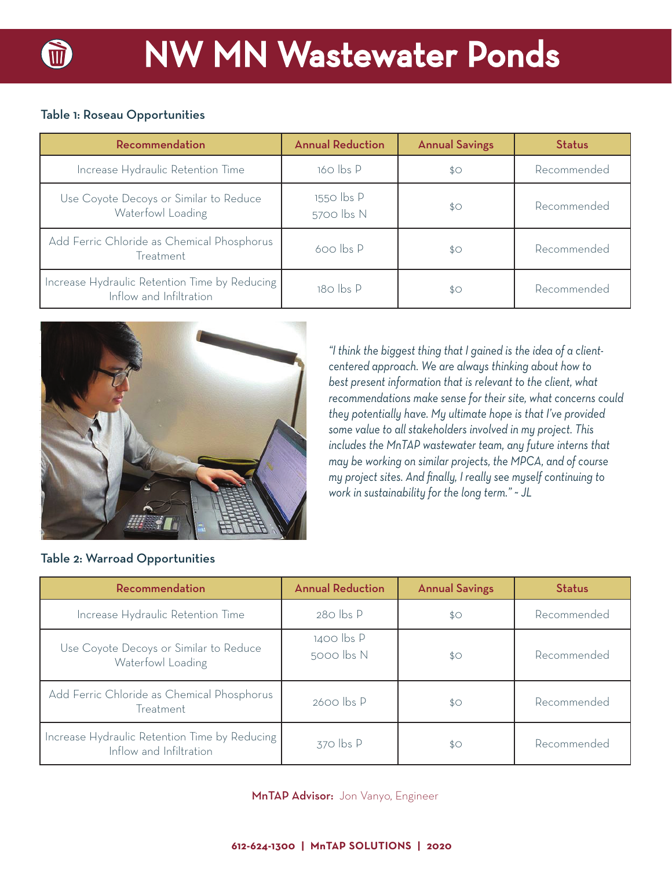# **NW MN Wastewater Ponds**

## Table 1: Roseau Opportunities

| Recommendation                                                           | <b>Annual Reduction</b>  | <b>Annual Savings</b> | <b>Status</b> |
|--------------------------------------------------------------------------|--------------------------|-----------------------|---------------|
| Increase Hydraulic Retention Time                                        | 160 lbs P                | $$^{\circ}$           | Recommended   |
| Use Coyote Decoys or Similar to Reduce<br>Waterfowl Loading              | 1550 lbs P<br>5700 lbs N | $$^{\circ}$           | Recommended   |
| Add Ferric Chloride as Chemical Phosphorus<br>Treatment                  | $600$ lbs $P$            | $$^{\circ}$           | Recommended   |
| Increase Hydraulic Retention Time by Reducing<br>Inflow and Infiltration | 180 lbs P                | $$^{\circ}$           | Recommended   |



Table 2: Warroad Opportunities

*"I think the biggest thing that I gained is the idea of a clientcentered approach. We are always thinking about how to best present information that is relevant to the client, what recommendations make sense for their site, what concerns could they potentially have. My ultimate hope is that I've provided some value to all stakeholders involved in my project. This includes the MnTAP wastewater team, any future interns that may be working on similar projects, the MPCA, and of course my project sites. And fi nally, I really see myself continuing to work in sustainability for the long term." ~ JL*

| Recommendation                                                           | <b>Annual Reduction</b>      | <b>Annual Savings</b> | <b>Status</b> |
|--------------------------------------------------------------------------|------------------------------|-----------------------|---------------|
| Increase Hydraulic Retention Time                                        | $280$ lbs P                  | $$^{\circ}$           | Recommended   |
| Use Coyote Decoys or Similar to Reduce<br>Waterfowl Loading              | $1400$ lbs $P$<br>5000 lbs N | $$^{\circ}$           | Recommended   |
| Add Ferric Chloride as Chemical Phosphorus<br>Treatment                  | $2600$ lbs $P$               | $$^{\circ}$           | Recommended   |
| Increase Hydraulic Retention Time by Reducing<br>Inflow and Infiltration | $370$ lbs $P$                | \$0                   | Recommended   |

#### MnTAP Advisor: Jon Vanyo, Engineer